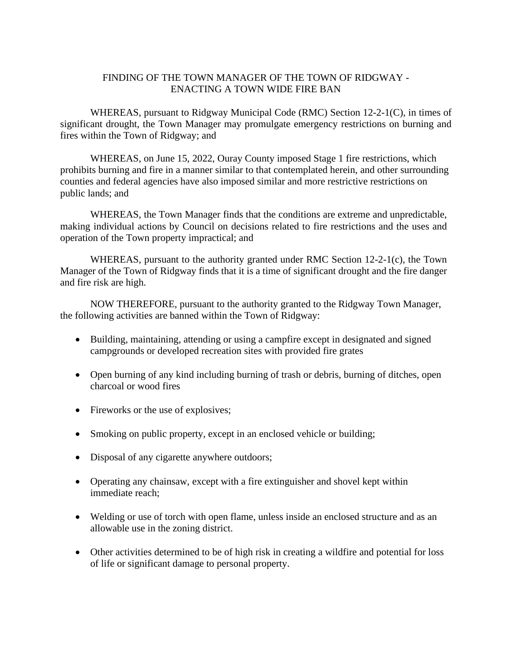## FINDING OF THE TOWN MANAGER OF THE TOWN OF RIDGWAY - ENACTING A TOWN WIDE FIRE BAN

WHEREAS, pursuant to Ridgway Municipal Code (RMC) Section 12-2-1(C), in times of significant drought, the Town Manager may promulgate emergency restrictions on burning and fires within the Town of Ridgway; and

WHEREAS, on June 15, 2022, Ouray County imposed Stage 1 fire restrictions, which prohibits burning and fire in a manner similar to that contemplated herein, and other surrounding counties and federal agencies have also imposed similar and more restrictive restrictions on public lands; and

WHEREAS, the Town Manager finds that the conditions are extreme and unpredictable, making individual actions by Council on decisions related to fire restrictions and the uses and operation of the Town property impractical; and

WHEREAS, pursuant to the authority granted under RMC Section 12-2-1(c), the Town Manager of the Town of Ridgway finds that it is a time of significant drought and the fire danger and fire risk are high.

NOW THEREFORE, pursuant to the authority granted to the Ridgway Town Manager, the following activities are banned within the Town of Ridgway:

- Building, maintaining, attending or using a campfire except in designated and signed campgrounds or developed recreation sites with provided fire grates
- Open burning of any kind including burning of trash or debris, burning of ditches, open charcoal or wood fires
- Fireworks or the use of explosives;
- Smoking on public property, except in an enclosed vehicle or building;
- Disposal of any cigarette anywhere outdoors;
- Operating any chainsaw, except with a fire extinguisher and shovel kept within immediate reach;
- Welding or use of torch with open flame, unless inside an enclosed structure and as an allowable use in the zoning district.
- Other activities determined to be of high risk in creating a wildfire and potential for loss of life or significant damage to personal property.